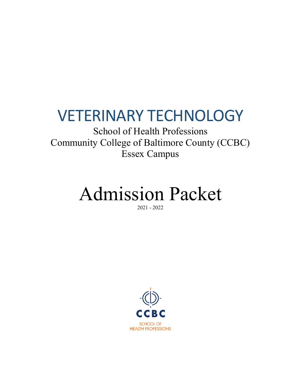## VETERINARY TECHNOLOGY

School of Health Professions Community College of Baltimore County (CCBC) Essex Campus

# Admission Packet

2021 - 2022

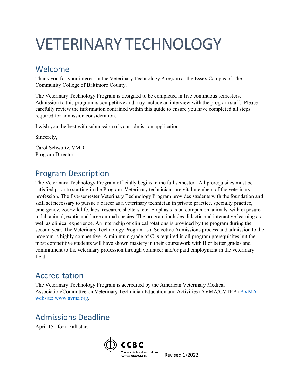## VETERINARY TECHNOLOGY

#### Welcome

Thank you for your interest in the Veterinary Technology Program at the Essex Campus of The Community College of Baltimore County.

The Veterinary Technology Program is designed to be completed in five continuous semesters. Admission to this program is competitive and may include an interview with the program staff. Please carefully review the information contained within this guide to ensure you have completed all steps required for admission consideration.

I wish you the best with submission of your admission application.

Sincerely,

Carol Schwartz, VMD Program Director

#### Program Description

The Veterinary Technology Program officially begins in the fall semester. All prerequisites must be satisfied prior to starting in the Program. Veterinary technicians are vital members of the veterinary profession. The five-semester Veterinary Technology Program provides students with the foundation and skill set necessary to pursue a career as a veterinary technician in private practice, specialty practice, emergency, zoo/wildlife, labs, research, shelters, etc. Emphasis is on companion animals, with exposure to lab animal, exotic and large animal species. The program includes didactic and interactive learning as well as clinical experience. An internship of clinical rotations is provided by the program during the second year. The Veterinary Technology Program is a Selective Admissions process and admission to the program is highly competitive. A minimum grade of C is required in all program prerequisites but the most competitive students will have shown mastery in their coursework with B or better grades and commitment to the veterinary profession through volunteer and/or paid employment in the veterinary field.

#### Accreditation

The Veterinary Technology Program is accredited by the American Veterinary Medical Association/Committee on Veterinary Technician Education and Activities (AVMA/CVTEA) [AVMA](http://www.avma.org/)  [website: www.avma.org.](http://www.avma.org/)

## Admissions Deadline

April 15<sup>th</sup> for a Fall start

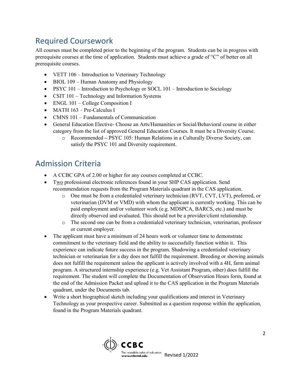## Required Coursework

All courses must be completed prior to the beginning of the program. Students can be in progress with prerequisite courses at the time of application. Students must achieve a grade of "C" of better on all prerequisite courses.

- VETT 106 Introduction to Veterinary Technology
- BIOL 109 Human Anatomy and Physiology
- PSYC 101 Introduction to Psychology or SOCL 101 Introduction to Sociology
- CSIT 101 Technology and Information Systems
- ENGL 101 College Composition I
- MATH 163 Pre-Calculus I
- CMNS 101 Fundamentals of Communication
- General Education Elective- Choose an Arts/Humanities or Social/Behavioral course in either category from the list of approved General Education Courses. It must be a Diversity Course.
	- o Recommended **–** PSYC 105: Human Relations in a Culturally Diverse Society, can satisfy the PSYC 101 and Diversity requirement.

#### Admission Criteria

- A CCBC GPA of 2.00 or higher for any courses completed at CCBC.
- Two professional electronic references found in your SHP CAS application. Send recommendation requests from the Program Materials quadrant in the CAS application.
	- o One must be from a credentialed veterinary technician (RVT, CVT, LVT), preferred, or veterinarian (DVM or VMD) with whom the applicant is currently working. This can be paid employment and/or volunteer work (e.g. MDSPCA, BARCS, etc.) and must be directly observed and evaluated. This should not be a provider/client relationship.
	- o The second one can be from a credentialed veterinary technician, veterinarian, professor or current employer.
- The applicant must have a minimum of 24 hours work or volunteer time to demonstrate commitment to the veterinary field and the ability to successfully function within it. This experience can indicate future success in the program. Shadowing a credentialed veterinary technician or veterinarian for a day does not fulfill the requirement. Breeding or showing animals does not fulfill the requirement unless the applicant is actively involved with a 4H, farm animal program. A structured internship experience (e.g. Vet Assistant Program, other) does fulfill the requirement. The student will complete the Documentation of Observation Hours form, found at the end of the Admission Packet and upload it to the CAS application in the Program Materials quadrant, under the Documents tab.
- Write a short biographical sketch including your qualifications and interest in Veterinary Technology as your prospective career. Submitted as a question response within the application, found in the Program Materials quadrant.

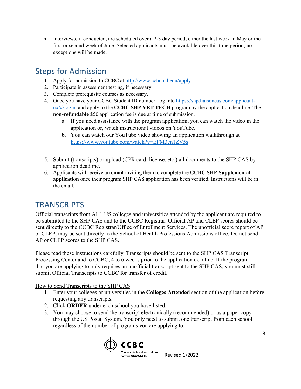• Interviews, if conducted, are scheduled over a 2-3 day period, either the last week in May or the first or second week of June. Selected applicants must be available over this time period; no exceptions will be made.

#### Steps for Admission

- 1. Apply for admission to CCBC at<http://www.ccbcmd.edu/apply>
- 2. Participate in assessment testing, if necessary.
- 3. Complete prerequisite courses as necessary.
- 4. Once you have your CCBC Student ID number, log into [https://shp.liaisoncas.com/applicant](https://shp.liaisoncas.com/applicant-ux/#/login)[ux/#/login](https://shp.liaisoncas.com/applicant-ux/#/login) and apply to the **CCBC SHP VET TECH** program by the application deadline. The **non-refundable** \$50 application fee is due at time of submission.
	- a. If you need assistance with the program application, you can watch the video in the application or, watch instructional videos on YouTube.
	- b. You can watch our YouTube video showing an application walkthrough at <https://www.youtube.com/watch?v=EFM3cn1ZV5s>
- 5. Submit (transcripts) or upload (CPR card, license, etc.) all documents to the SHP CAS by application deadline.
- 6. Applicants will receive an **email** inviting them to complete the **CCBC SHP Supplemental application** once their program SHP CAS application has been verified. Instructions will be in the email.

#### **TRANSCRIPTS**

Official transcripts from ALL US colleges and universities attended by the applicant are required to be submitted to the SHP CAS and to the CCBC Registrar. Official AP and CLEP scores should be sent directly to the CCBC Registrar/Office of Enrollment Services. The unofficial score report of AP or CLEP, may be sent directly to the School of Health Professions Admissions office. Do not send AP or CLEP scores to the SHP CAS.

Please read these instructions carefully. Transcripts should be sent to the SHP CAS Transcript Processing Center and to CCBC, 4 to 6 weeks prior to the application deadline. If the program that you are applying to only requires an unofficial transcript sent to the SHP CAS, you must still submit Official Transcripts to CCBC for transfer of credit.

How to Send Transcripts to the SHP CAS

- 1. Enter your colleges or universities in the **Colleges Attended** section of the application before requesting any transcripts.
- 2. Click **ORDER** under each school you have listed.
- 3. You may choose to send the transcript electronically (recommended) or as a paper copy through the US Postal System. You only need to submit one transcript from each school regardless of the number of programs you are applying to.

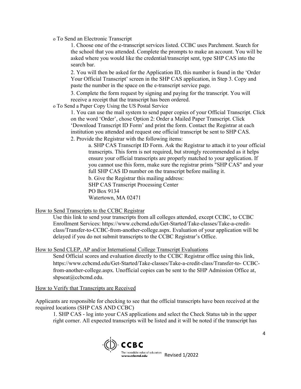o To Send an Electronic Transcript

1. Choose one of the e-transcript services listed. CCBC uses Parchment. Search for the school that you attended. Complete the prompts to make an account. You will be asked where you would like the credential/transcript sent, type SHP CAS into the search bar.

2. You will then be asked for the Application ID, this number is found in the 'Order Your Official Transcript' screen in the SHP CAS application, in Step 3. Copy and paste the number in the space on the e-transcript service page.

3. Complete the form request by signing and paying for the transcript. You will receive a receipt that the transcript has been ordered.

o To Send a Paper Copy Using the US Postal Service

1. You can use the mail system to send paper copies of your Official Transcript. Click on the word 'Order', chose Option 2: Order a Mailed Paper Transcript. Click 'Download Transcript ID Form' and print the form. Contact the Registrar at each institution you attended and request one official transcript be sent to SHP CAS.

2. Provide the Registrar with the following items:

a. SHP CAS Transcript ID Form. Ask the Registrar to attach it to your official transcripts. This form is not required, but strongly recommended as it helps ensure your official transcripts are properly matched to your application. If you cannot use this form, make sure the registrar prints "SHP CAS" and your full SHP CAS ID number on the transcript before mailing it. b. Give the Registrar this mailing address: SHP CAS Transcript Processing Center PO Box 9134 Watertown, MA 02471

#### How to Send Transcripts to the CCBC Registrar

Use this link to send your transcripts from all colleges attended, except CCBC, to CCBC Enrollment Services: https://www.ccbcmd.edu/Get-Started/Take-classes/Take-a-creditclass/Transfer-to-CCBC-from-another-college.aspx. Evaluation of your application will be delayed if you do not submit transcripts to the CCBC Registrar's Office.

How to Send CLEP, AP and/or International College Transcript Evaluations

Send Official scores and evaluation directly to the CCBC Registrar office using this link, https://www.ccbcmd.edu/Get-Started/Take-classes/Take-a-credit-class/Transfer-to- CCBCfrom-another-college.aspx. Unofficial copies can be sent to the SHP Admission Office at, shpseat@ccbcmd.edu.

How to Verify that Transcripts are Received

Applicants are responsible for checking to see that the official transcripts have been received at the required locations (SHP CAS AND CCBC)

1. SHP CAS - log into your CAS applications and select the Check Status tab in the upper right corner. All expected transcripts will be listed and it will be noted if the transcript has

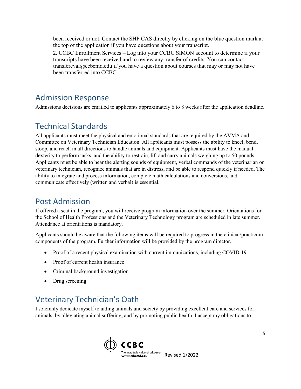been received or not. Contact the SHP CAS directly by clicking on the blue question mark at the top of the application if you have questions about your transcript.

2. CCBC Enrollment Services – Log into your CCBC SIMON account to determine if your transcripts have been received and to review any transfer of credits. You can contact transfereval@ccbcmd.edu if you have a question about courses that may or may not have been transferred into CCBC.

#### Admission Response

Admissions decisions are emailed to applicants approximately 6 to 8 weeks after the application deadline.

#### Technical Standards

All applicants must meet the physical and emotional standards that are required by the AVMA and Committee on Veterinary Technician Education. All applicants must possess the ability to kneel, bend, stoop, and reach in all directions to handle animals and equipment. Applicants must have the manual dexterity to perform tasks, and the ability to restrain, lift and carry animals weighing up to 50 pounds. Applicants must be able to hear the alerting sounds of equipment, verbal commands of the veterinarian or veterinary technician, recognize animals that are in distress, and be able to respond quickly if needed. The ability to integrate and process information, complete math calculations and conversions, and communicate effectively (written and verbal) is essential.

#### Post Admission

If offered a seat in the program, you will receive program information over the summer. Orientations for the School of Health Professions and the Veterinary Technology program are scheduled in late summer. Attendance at orientations is mandatory.

Applicants should be aware that the following items will be required to progress in the clinical/practicum components of the program. Further information will be provided by the program director.

- Proof of a recent physical examination with current immunizations, including COVID-19
- Proof of current health insurance
- Criminal background investigation
- Drug screening

#### Veterinary Technician's Oath

I solemnly dedicate myself to aiding animals and society by providing excellent care and services for animals, by alleviating animal suffering, and by promoting public health. I accept my obligations to

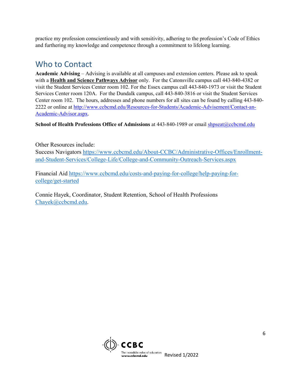practice my profession conscientiously and with sensitivity, adhering to the profession's Code of Ethics and furthering my knowledge and competence through a commitment to lifelong learning.

#### Who to Contact

**Academic Advising** – Advising is available at all campuses and extension centers. Please ask to speak with a **Health and Science Pathways Advisor** only. For the Catonsville campus call 443-840-4382 or visit the Student Services Center room 102. For the Essex campus call 443-840-1973 or visit the Student Services Center room 120A. For the Dundalk campus, call 443-840-3816 or visit the Student Services Center room 102. The hours, addresses and phone numbers for all sites can be found by calling 443-840- 2222 or online at [http://www.ccbcmd.edu/Resources-for-Students/Academic-Advisement/Contact-an-](http://www.ccbcmd.edu/Resources-for-Students/Academic-Advisement/Contact-an-Academic-Advisor.aspx)[Academic-Advisor.aspx.](http://www.ccbcmd.edu/Resources-for-Students/Academic-Advisement/Contact-an-Academic-Advisor.aspx)

**School of Health Professions Office of Admissions** at 443-840-1989 or email [shpseat@ccbcmd.edu](mailto:shpseat@ccbcmd.edu)

Other Resources include: Success Navigators [https://www.ccbcmd.edu/About-CCBC/Administrative-Offices/Enrollment](https://www.ccbcmd.edu/About-CCBC/Administrative-Offices/Enrollment-and-Student-Services/College-Life/College-and-Community-Outreach-Services.aspx)[and-Student-Services/College-Life/College-and-Community-Outreach-Services.aspx](https://www.ccbcmd.edu/About-CCBC/Administrative-Offices/Enrollment-and-Student-Services/College-Life/College-and-Community-Outreach-Services.aspx)

Financial Aid [https://www.ccbcmd.edu/costs-and-paying-for-college/help-paying-for](https://www.ccbcmd.edu/costs-and-paying-for-college/help-paying-for-college/get-started)[college/get-started](https://www.ccbcmd.edu/costs-and-paying-for-college/help-paying-for-college/get-started)

Connie Hayek, Coordinator, Student Retention, School of Health Professions [Chayek@ccbcmd.edu.](mailto:Chayek@ccbcmd.edu)

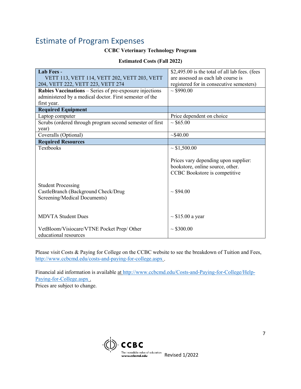#### Estimate of Program Expenses

#### **CCBC Veterinary Technology Program**

#### **Estimated Costs (Fall 2022)**

| <b>Lab Fees -</b>                                        | \$2,495.00 is the total of all lab fees. (fees |
|----------------------------------------------------------|------------------------------------------------|
| VETT 113, VETT 114, VETT 202, VETT 203, VETT             | are assessed as each lab course is             |
| 204, VETT 222, VETT 223, VETT 274                        | registered for in consecutive semesters)       |
| Rabies Vaccinations – Series of pre-exposure injections  | $\sim$ \$990.00                                |
| administered by a medical doctor. First semester of the  |                                                |
| first year.                                              |                                                |
| <b>Required Equipment</b>                                |                                                |
| Laptop computer                                          | Price dependent on choice                      |
| Scrubs (ordered through program second semester of first | $\sim$ \$65.00                                 |
| year)                                                    |                                                |
| Coveralls (Optional)                                     | ~540.00                                        |
| <b>Required Resources</b>                                |                                                |
| <b>Textbooks</b>                                         | $\sim $1,500.00$                               |
|                                                          |                                                |
|                                                          | Prices vary depending upon supplier:           |
|                                                          | bookstore, online source, other.               |
|                                                          | CCBC Bookstore is competitive                  |
|                                                          |                                                |
| <b>Student Processing</b>                                |                                                |
| CastleBranch (Background Check/Drug                      | $\sim$ \$94.00                                 |
| Screening/Medical Documents)                             |                                                |
|                                                          |                                                |
|                                                          |                                                |
| <b>MDVTA Student Dues</b>                                | $\sim$ \$15.00 a year                          |
|                                                          |                                                |
| VetBloom/Visiocare/VTNE Pocket Prep/ Other               | $\sim$ \$300.00                                |
| educational resources                                    |                                                |

Please visit Costs & Paying for College on the CCBC website to see the breakdown of Tuition and Fees, <http://www.ccbcmd.edu/costs-and-paying-for-college.aspx> .

Financial aid information is available at [http://www.ccbcmd.edu/Costs-and-Paying-for-College/Help-](http://www.ccbcmd.edu/Costs-and-Paying-for-College/Help-Paying-for-College.aspx)[Paying-for-College.aspx](http://www.ccbcmd.edu/Costs-and-Paying-for-College/Help-Paying-for-College.aspx) . Prices are subject to change.

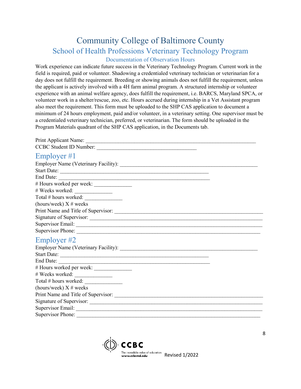## Community College of Baltimore County School of Health Professions Veterinary Technology Program

#### Documentation of Observation Hours

Work experience can indicate future success in the Veterinary Technology Program. Current work in the field is required, paid or volunteer. Shadowing a credentialed veterinary technician or veterinarian for a day does not fulfill the requirement. Breeding or showing animals does not fulfill the requirement, unless the applicant is actively involved with a 4H farm animal program. A structured internship or volunteer experience with an animal welfare agency, does fulfill the requirement, i.e. BARCS, Maryland SPCA, or volunteer work in a shelter/rescue, zoo, etc. Hours accrued during internship in a Vet Assistant program also meet the requirement. This form must be uploaded to the SHP CAS application to document a minimum of 24 hours employment, paid and/or volunteer, in a veterinary setting. One supervisor must be a credentialed veterinary technician, preferred, or veterinarian. The form should be uploaded in the Program Materials quadrant of the SHP CAS application, in the Documents tab.

| Employer #1                         |  |
|-------------------------------------|--|
|                                     |  |
| Start Date:                         |  |
|                                     |  |
|                                     |  |
|                                     |  |
| Total # hours worked:               |  |
| (hours/week) $X \#$ weeks           |  |
|                                     |  |
|                                     |  |
|                                     |  |
|                                     |  |
| Employer #2                         |  |
|                                     |  |
|                                     |  |
| End Date:                           |  |
|                                     |  |
|                                     |  |
| Total # hours worked:               |  |
| (hours/week) $X \#$ weeks           |  |
|                                     |  |
|                                     |  |
| Supervisor Email: Supervisor Email: |  |
| Supervisor Phone:                   |  |